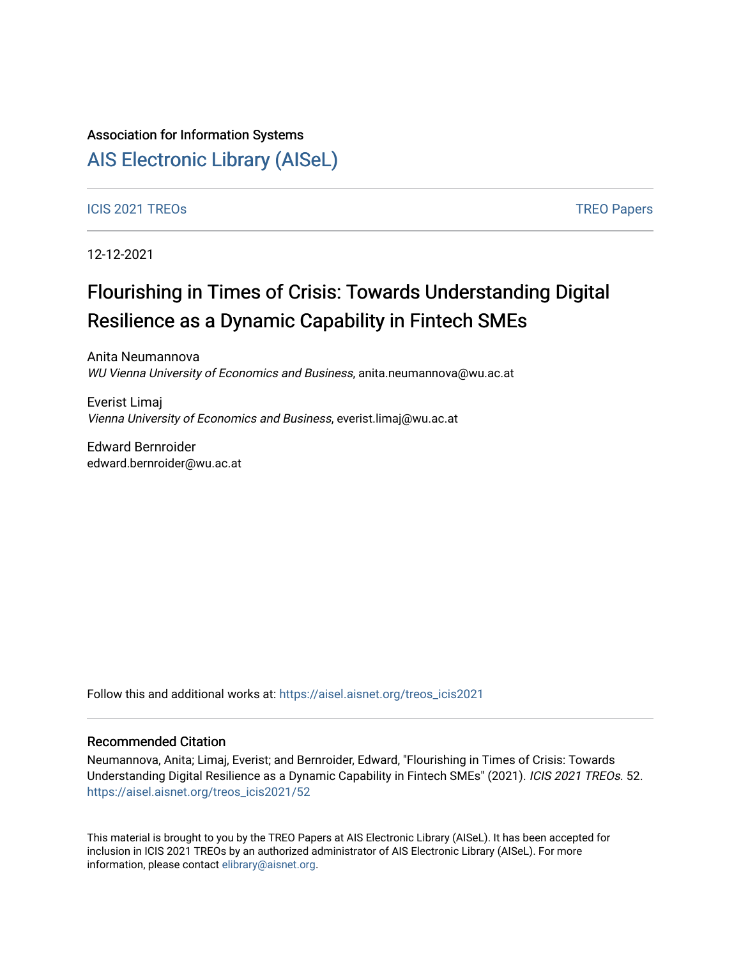## Association for Information Systems

# [AIS Electronic Library \(AISeL\)](https://aisel.aisnet.org/)

### [ICIS 2021 TREOs](https://aisel.aisnet.org/treos_icis2021) [TREO Papers](https://aisel.aisnet.org/treos) And TREO Papers And TREO Papers And TREO Papers And TREO Papers And TREO Papers And TREO Papers

12-12-2021

# Flourishing in Times of Crisis: Towards Understanding Digital Resilience as a Dynamic Capability in Fintech SMEs

Anita Neumannova WU Vienna University of Economics and Business, anita.neumannova@wu.ac.at

Everist Limaj Vienna University of Economics and Business, everist.limaj@wu.ac.at

Edward Bernroider edward.bernroider@wu.ac.at

Follow this and additional works at: [https://aisel.aisnet.org/treos\\_icis2021](https://aisel.aisnet.org/treos_icis2021?utm_source=aisel.aisnet.org%2Ftreos_icis2021%2F52&utm_medium=PDF&utm_campaign=PDFCoverPages) 

#### Recommended Citation

Neumannova, Anita; Limaj, Everist; and Bernroider, Edward, "Flourishing in Times of Crisis: Towards Understanding Digital Resilience as a Dynamic Capability in Fintech SMEs" (2021). ICIS 2021 TREOs. 52. [https://aisel.aisnet.org/treos\\_icis2021/52](https://aisel.aisnet.org/treos_icis2021/52?utm_source=aisel.aisnet.org%2Ftreos_icis2021%2F52&utm_medium=PDF&utm_campaign=PDFCoverPages) 

This material is brought to you by the TREO Papers at AIS Electronic Library (AISeL). It has been accepted for inclusion in ICIS 2021 TREOs by an authorized administrator of AIS Electronic Library (AISeL). For more information, please contact [elibrary@aisnet.org.](mailto:elibrary@aisnet.org%3E)